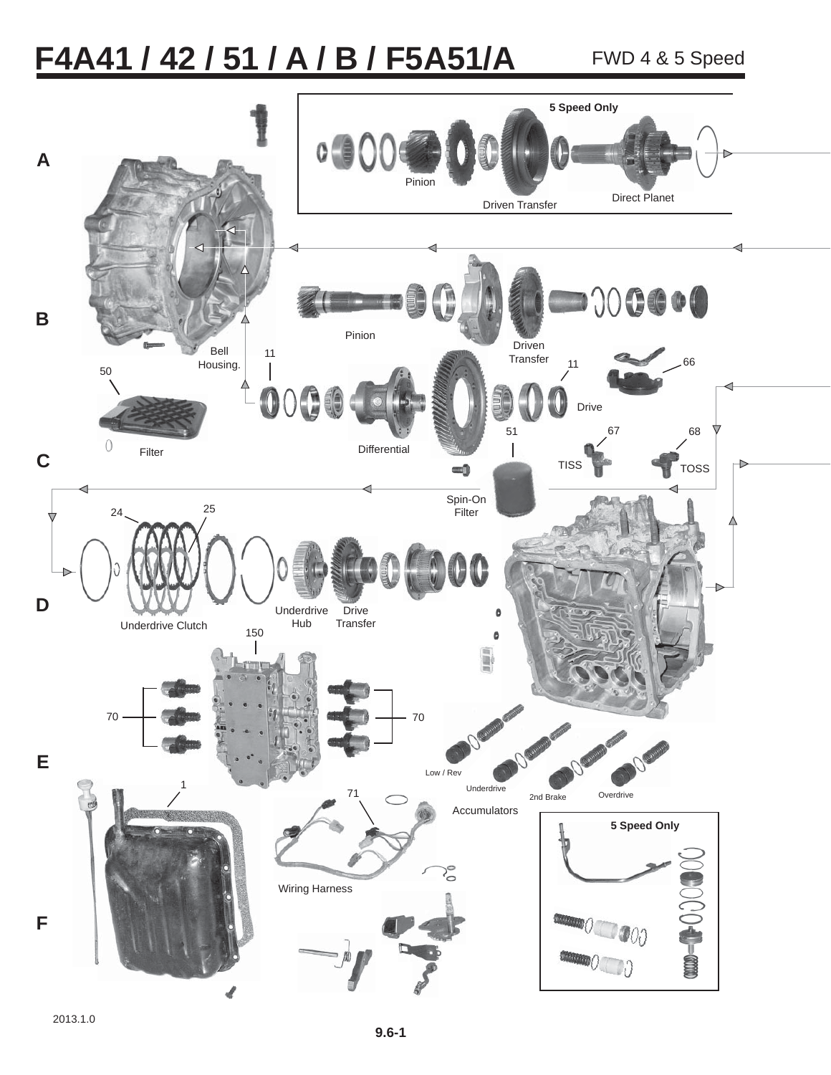# F4A41 / 42 / 51 / A / B / F5A51/A FWD 4 & 5 Speed

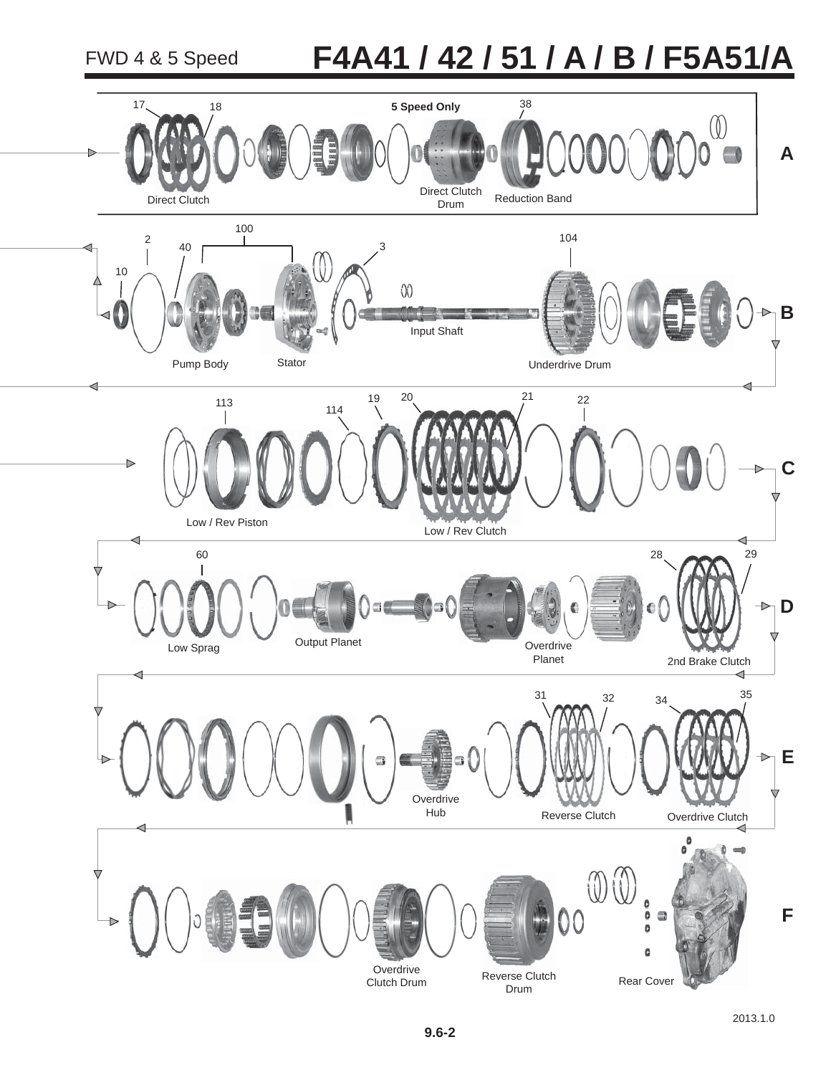## **F4A41 / 42 / 51 / A / B / F5A51/A**

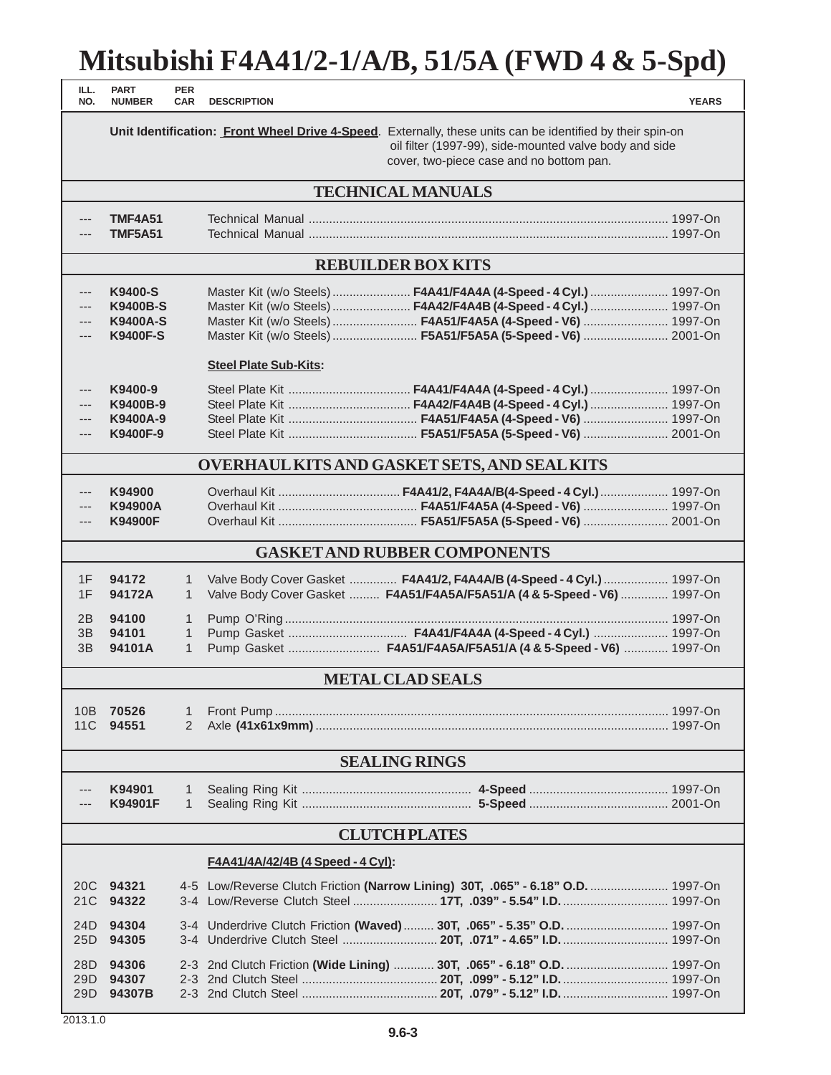### **Mitsubishi F4A41/2-1/A/B, 51/5A (FWD 4 & 5-Spd)**

| ILL.<br>NO.                                | <b>PART</b><br><b>NUMBER</b>                                     | <b>PER</b><br><b>CAR</b>                     | <b>DESCRIPTION</b>           |                                                                                                                                                                                                                                                                      | <b>YEARS</b> |
|--------------------------------------------|------------------------------------------------------------------|----------------------------------------------|------------------------------|----------------------------------------------------------------------------------------------------------------------------------------------------------------------------------------------------------------------------------------------------------------------|--------------|
|                                            |                                                                  |                                              |                              | Unit Identification: Front Wheel Drive 4-Speed. Externally, these units can be identified by their spin-on<br>oil filter (1997-99), side-mounted valve body and side<br>cover, two-piece case and no bottom pan.                                                     |              |
|                                            |                                                                  |                                              |                              | <b>TECHNICAL MANUALS</b>                                                                                                                                                                                                                                             |              |
| ---                                        | <b>TMF4A51</b><br><b>TMF5A51</b>                                 |                                              |                              |                                                                                                                                                                                                                                                                      |              |
| <b>REBUILDER BOX KITS</b>                  |                                                                  |                                              |                              |                                                                                                                                                                                                                                                                      |              |
| ---<br>$---$<br>---<br>---                 | K9400-S<br><b>K9400B-S</b><br><b>K9400A-S</b><br><b>K9400F-S</b> |                                              |                              | Master Kit (w/o Steels)  F4A41/F4A4A (4-Speed - 4 Cyl.)  1997-On<br>Master Kit (w/o Steels)  F4A42/F4A4B (4-Speed - 4 Cyl.)  1997-On<br>Master Kit (w/o Steels)  F4A51/F4A5A (4-Speed - V6)  1997-On<br>Master Kit (w/o Steels)  F5A51/F5A5A (5-Speed - V6)  2001-On |              |
| ---<br>---<br>---<br>---                   | K9400-9<br>K9400B-9<br>K9400A-9<br>K9400F-9                      |                                              | <b>Steel Plate Sub-Kits:</b> | Steel Plate Kit  F4A42/F4A4B (4-Speed - 4 Cyl.)  1997-On                                                                                                                                                                                                             |              |
|                                            |                                                                  |                                              |                              | <b>OVERHAUL KITS AND GASKET SETS, AND SEAL KITS</b>                                                                                                                                                                                                                  |              |
| $---$<br>---                               | K94900<br>K94900A<br><b>K94900F</b>                              |                                              |                              | Overhaul Kit  F4A41/2, F4A4A/B(4-Speed - 4 Cyl.)  1997-On                                                                                                                                                                                                            |              |
| <b>GASKET AND RUBBER COMPONENTS</b>        |                                                                  |                                              |                              |                                                                                                                                                                                                                                                                      |              |
| 1F<br>1F                                   | 94172<br>94172A                                                  | 1<br>$\mathbf{1}$                            |                              | Valve Body Cover Gasket  F4A41/2, F4A4A/B (4-Speed - 4 Cyl.)  1997-On<br>Valve Body Cover Gasket  F4A51/F4A5A/F5A51/A (4 & 5-Speed - V6)  1997-On                                                                                                                    |              |
| 2B<br>3B<br>3B                             | 94100<br>94101<br>94101A                                         | $\mathbf{1}$<br>$\mathbf{1}$<br>$\mathbf{1}$ |                              | Pump Gasket  F4A41/F4A4A (4-Speed - 4 Cyl.)  1997-On<br>Pump Gasket  F4A51/F4A5A/F5A51/A (4 & 5-Speed - V6)  1997-On                                                                                                                                                 |              |
| <b>METAL CLAD SEALS</b>                    |                                                                  |                                              |                              |                                                                                                                                                                                                                                                                      |              |
| 11C                                        | 10B 70526<br>94551                                               | 1<br>2                                       |                              |                                                                                                                                                                                                                                                                      |              |
|                                            |                                                                  |                                              |                              | <b>SEALING RINGS</b>                                                                                                                                                                                                                                                 |              |
|                                            | K94901<br>K94901F                                                | 1<br>$\mathbf{1}$                            |                              |                                                                                                                                                                                                                                                                      |              |
|                                            |                                                                  |                                              |                              | <b>CLUTCH PLATES</b>                                                                                                                                                                                                                                                 |              |
| <u> F4A41/4A/42/4B (4 Speed - 4 Cyl)</u> : |                                                                  |                                              |                              |                                                                                                                                                                                                                                                                      |              |
| 21C                                        | 20C 94321<br>94322                                               |                                              |                              | 4-5 Low/Reverse Clutch Friction (Narrow Lining) 30T, .065" - 6.18" O.D.  1997-On                                                                                                                                                                                     |              |
| 24D<br>25D                                 | 94304<br>94305                                                   |                                              |                              | 3-4 Underdrive Clutch Friction (Waved)  30T, .065" - 5.35" O.D.  1997-On                                                                                                                                                                                             |              |
| 28D<br>29D<br>29D                          | 94306<br>94307<br>94307B                                         |                                              |                              | 2-3 2nd Clutch Friction (Wide Lining)  30T, .065" - 6.18" O.D.  1997-On                                                                                                                                                                                              |              |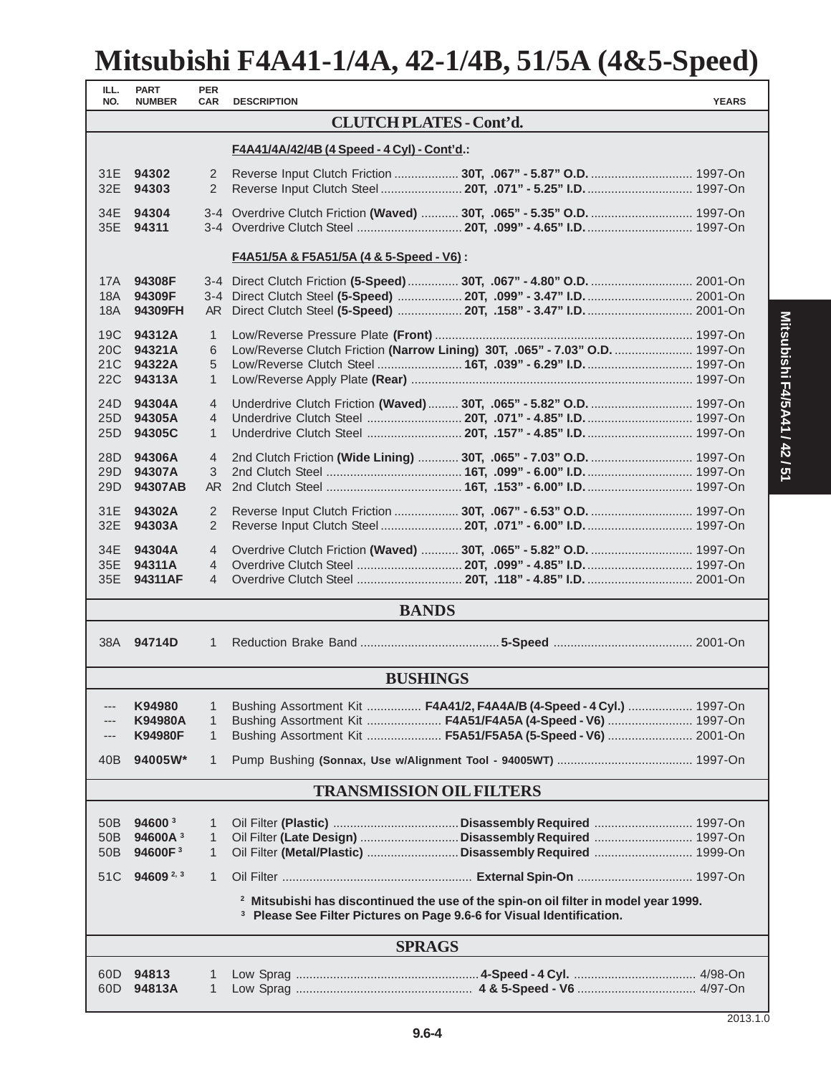### **Mitsubishi F4A41-1/4A, 42-1/4B, 51/5A (4&5-Speed)**

| ILL.<br>NO.     | <b>PART</b><br><b>NUMBER</b>                                                                                                                                                       | <b>PER</b><br><b>CAR</b> | <b>DESCRIPTION</b>                                                           | <b>YEARS</b> |
|-----------------|------------------------------------------------------------------------------------------------------------------------------------------------------------------------------------|--------------------------|------------------------------------------------------------------------------|--------------|
|                 |                                                                                                                                                                                    |                          | <b>CLUTCH PLATES - Cont'd.</b>                                               |              |
|                 |                                                                                                                                                                                    |                          | F4A41/4A/42/4B (4 Speed - 4 Cyl) - Cont'd.:                                  |              |
| 32E             | 31E 94302<br>94303                                                                                                                                                                 | 2<br>2                   | Reverse Input Clutch Steel 20T, .071" - 5.25" I.D 1997-On                    |              |
|                 | 34E 94304                                                                                                                                                                          |                          | 3-4 Overdrive Clutch Friction (Waved)  30T, .065" - 5.35" O.D.  1997-On      |              |
|                 | 35E 94311                                                                                                                                                                          |                          |                                                                              |              |
|                 |                                                                                                                                                                                    |                          | <u> F4A51/5A &amp; F5A51/5A (4 &amp; 5-Speed - V6)</u> :                     |              |
| 17A<br>18A      | 94308F<br>94309F                                                                                                                                                                   |                          | 3-4 Direct Clutch Steel (5-Speed)  20T, .099" - 3.47" I.D 2001-On            |              |
| 18A             | 94309FH                                                                                                                                                                            |                          |                                                                              |              |
|                 | 19C 94312A                                                                                                                                                                         | $\mathbf{1}$             |                                                                              |              |
| 20 <sub>C</sub> | 94321A                                                                                                                                                                             | 6                        | Low/Reverse Clutch Friction (Narrow Lining) 30T, .065" - 7.03" O.D.  1997-On |              |
| 21C             | 94322A                                                                                                                                                                             | 5                        | Low/Reverse Clutch Steel  16T, .039" - 6.29" I.D.  1997-On                   |              |
| 22C             | 94313A                                                                                                                                                                             | $\mathbf{1}$             |                                                                              |              |
| 24D             | 94304A                                                                                                                                                                             | $\overline{4}$           | Underdrive Clutch Friction (Waved)  30T, .065" - 5.82" O.D.  1997-On         |              |
|                 | 25D 94305A                                                                                                                                                                         | 4                        |                                                                              |              |
|                 | 25D 94305C                                                                                                                                                                         | $\mathbf{1}$             | Underdrive Clutch Steel  20T, .157" - 4.85" I.D.  1997-On                    |              |
| 28D             | 94306A                                                                                                                                                                             | $\overline{4}$           | 2nd Clutch Friction (Wide Lining)  30T, .065" - 7.03" O.D.  1997-On          |              |
| 29D             | 94307A                                                                                                                                                                             | 3                        |                                                                              |              |
| 29 <sub>D</sub> | 94307AB                                                                                                                                                                            |                          |                                                                              |              |
| 31E             | 94302A                                                                                                                                                                             | 2                        |                                                                              |              |
| 32E             | 94303A                                                                                                                                                                             | 2                        | Reverse Input Clutch Steel 20T, .071" - 6.00" I.D 1997-On                    |              |
|                 | 34E 94304A                                                                                                                                                                         | $\overline{4}$           | Overdrive Clutch Friction (Waved)  30T, .065" - 5.82" O.D.  1997-On          |              |
|                 | 35E 94311A<br>35E 94311AF                                                                                                                                                          | 4<br>$\overline{4}$      |                                                                              |              |
|                 |                                                                                                                                                                                    |                          | <b>BANDS</b>                                                                 |              |
|                 |                                                                                                                                                                                    |                          |                                                                              |              |
|                 | 38A 94714D                                                                                                                                                                         | $\mathbf{1}$             |                                                                              |              |
|                 |                                                                                                                                                                                    |                          | <b>BUSHINGS</b>                                                              |              |
| ---             | K94980                                                                                                                                                                             | 1                        | Bushing Assortment Kit  F4A41/2, F4A4A/B (4-Speed - 4 Cyl.)  1997-On         |              |
|                 | K94980A                                                                                                                                                                            | 1                        | Bushing Assortment Kit  F4A51/F4A5A (4-Speed - V6)  1997-On                  |              |
|                 | <b>K94980F</b>                                                                                                                                                                     | $\mathbf{1}$             | Bushing Assortment Kit  F5A51/F5A5A (5-Speed - V6)  2001-On                  |              |
| 40B             | 94005W*                                                                                                                                                                            | $\mathbf{1}$             |                                                                              |              |
|                 |                                                                                                                                                                                    |                          | <b>TRANSMISSION OIL FILTERS</b>                                              |              |
| 50 <sub>B</sub> | 94600 <sup>3</sup>                                                                                                                                                                 | 1                        |                                                                              |              |
| 50 <sub>B</sub> | 94600A <sup>3</sup>                                                                                                                                                                | 1                        |                                                                              |              |
| 50 <sub>B</sub> | 94600F <sup>3</sup>                                                                                                                                                                | $\mathbf{1}$             |                                                                              |              |
| 51C             | 94609 $2,3$                                                                                                                                                                        | $\mathbf{1}$             |                                                                              |              |
|                 | <sup>2</sup> Mitsubishi has discontinued the use of the spin-on oil filter in model year 1999.<br><sup>3</sup> Please See Filter Pictures on Page 9.6-6 for Visual Identification. |                          |                                                                              |              |
| <b>SPRAGS</b>   |                                                                                                                                                                                    |                          |                                                                              |              |
|                 |                                                                                                                                                                                    |                          |                                                                              |              |
| 60D<br>60D      | 94813<br>94813A                                                                                                                                                                    | 1<br>$\mathbf{1}$        |                                                                              |              |